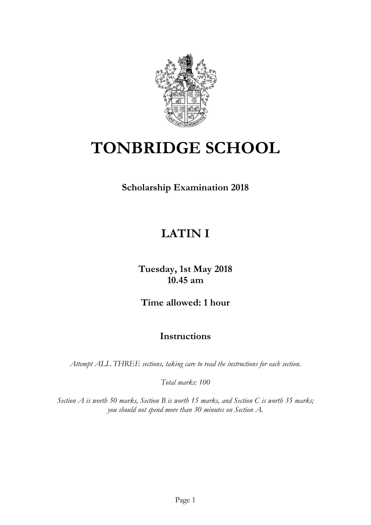

# **TONBRIDGE SCHOOL**

**Scholarship Examination 2018**

## **LATIN I**

**Tuesday, 1st May 2018 10.45 am**

**Time allowed: 1 hour**

## **Instructions**

*Attempt ALL THREE sections, taking care to read the instructions for each section.* 

*Total marks: 100*

*Section A is worth 50 marks, Section B is worth 15 marks, and Section C is worth 35 marks; you should not spend more than 30 minutes on Section A.*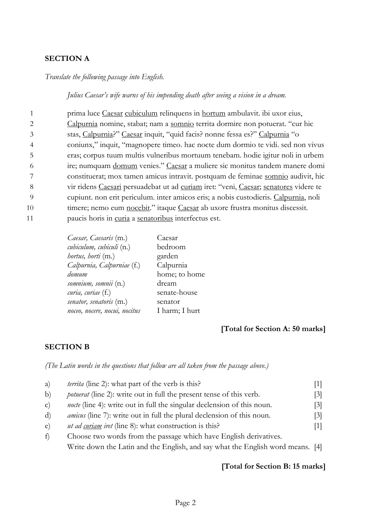#### **SECTION A**

#### *Translate the following passage into English.*

#### *Julius Caesar's wife warns of his impending death after seeing a vision in a dream.*

|    | prima luce Caesar cubiculum relinquens in hortum ambulavit. ibi uxor eius,           |
|----|--------------------------------------------------------------------------------------|
|    | Calpurnia nomine, stabat; nam a somnio territa dormire non potuerat. "cur hic        |
|    | stas, Calpurnia?" Caesar inquit, "quid facis? nonne fessa es?" Calpurnia "o          |
|    | coniunx," inquit, "magnopere timeo. hac nocte dum dormio te vidi. sed non vivus      |
| 5  | eras; corpus tuum multis vulneribus mortuum tenebam. hodie igitur noli in urbem      |
| 6  | ire; numquam domum venies." Caesar a muliere sic monitus tandem manere domi          |
|    | constituerat; mox tamen amicus intravit. postquam de feminae somnio audivit, hic     |
| 8  | vir ridens Caesari persuadebat ut ad curiam iret: "veni, Caesar; senatores videre te |
| -9 | cupiunt. non erit periculum. inter amicos eris; a nobis custodieris. Calpurnia, noli |
| 10 | timere; nemo eum nocebit." itaque Caesar ab uxore frustra monitus discessit.         |
| 11 | paucis horis in curia a senatoribus interfectus est.                                 |

| Caesar         |
|----------------|
| bedroom        |
| garden         |
| Calpurnia      |
| home; to home  |
| dream          |
| senate-house   |
| senator        |
| I harm; I hurt |
|                |

#### **[Total for Section A: 50 marks]**

#### **SECTION B**

*(The Latin words in the questions that follow are all taken from the passage above.)*

| a)           | territa (line 2): what part of the verb is this?                               |                   |
|--------------|--------------------------------------------------------------------------------|-------------------|
| b)           | <i>potuerat</i> (line 2): write out in full the present tense of this verb.    | 3                 |
| $\mathbf{C}$ | <i>nocte</i> (line 4): write out in full the singular declension of this noun. | $\lceil 3 \rceil$ |
| d)           | <i>amicus</i> (line 7): write out in full the plural declension of this noun.  | $[3]$             |
| e)           | <i>ut ad curiam iret</i> (line 8): what construction is this?                  | 1                 |
| f            | Choose two words from the passage which have English derivatives.              |                   |
|              | Write down the Latin and the English, and say what the English word means. [4] |                   |

#### **[Total for Section B: 15 marks]**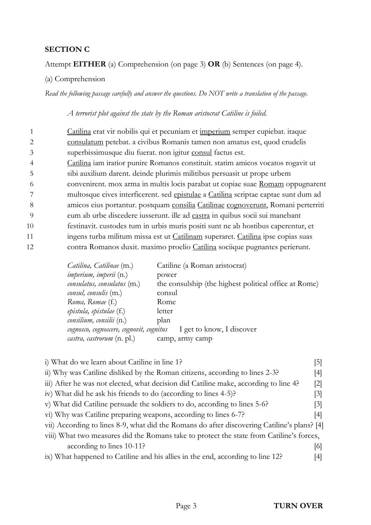#### **SECTION C**

#### Attempt **EITHER** (a) Comprehension (on page 3) **OR** (b) Sentences (on page 4).

#### (a) Comprehension

*Read the following passage carefully and answer the questions. Do NOT write a translation of the passage.* 

#### *A terrorist plot against the state by the Roman aristocrat Catiline is foiled.*

|    | Catilina erat vir nobilis qui et pecuniam et imperium semper cupiebat. itaque       |
|----|-------------------------------------------------------------------------------------|
|    | consulatum petebat. a civibus Romanis tamen non amatus est, quod crudelis           |
|    | superbissimusque diu fuerat. non igitur consul factus est.                          |
|    | Catilina iam iratior punire Romanos constituit. statim amicos vocatos rogavit ut    |
|    | sibi auxilium darent. deinde plurimis militibus persuasit ut prope urbem            |
| 6  | convenirent. mox arma in multis locis parabat ut copiae suae Romam oppugnarent      |
|    | multosque cives interficerent. sed epistulae a Catilina scriptae captae sunt dum ad |
| 8  | amicos eius portantur. postquam consilia Catilinae cognoverunt, Romani perterriti   |
| -9 | eum ab urbe discedere iusserunt. ille ad castra in quibus socii sui manebant        |
| 10 | festinavit. custodes tum in urbis muris positi sunt ne ab hostibus caperentur, et   |
| 11 | ingens turba militum missa est ut Catilinam superaret. Catilina ipse copias suas    |
| 12 | contra Romanos duxit. maximo proelio Catilina sociique pugnantes perierunt.         |
|    |                                                                                     |

| Catiline (a Roman aristocrat)                                         |
|-----------------------------------------------------------------------|
| power                                                                 |
| the consulship (the highest political office at Rome)                 |
| consul                                                                |
| Rome                                                                  |
| letter                                                                |
| plan                                                                  |
| I get to know, I discover<br>cognosco, cognoscere, cognovit, cognitus |
| camp, army camp                                                       |
|                                                                       |

| i) What do we learn about Catiline in line 1?                                               | 5   |  |
|---------------------------------------------------------------------------------------------|-----|--|
| ii) Why was Catiline disliked by the Roman citizens, according to lines 2-3?                | 4   |  |
| iii) After he was not elected, what decision did Catiline make, according to line 4?        | 2   |  |
| iv) What did he ask his friends to do (according to lines 4-5)?                             | 3   |  |
| v) What did Catiline persuade the soldiers to do, according to lines 5-6?                   | 3   |  |
| vi) Why was Catiline preparing weapons, according to lines 6-7?                             | 4   |  |
| vii) According to lines 8-9, what did the Romans do after discovering Catiline's plans? [4] |     |  |
| viii) What two measures did the Romans take to protect the state from Catiline's forces,    |     |  |
| according to lines 10-11?                                                                   | 161 |  |
| ix) What happened to Catiline and his allies in the end, according to line 12?              |     |  |